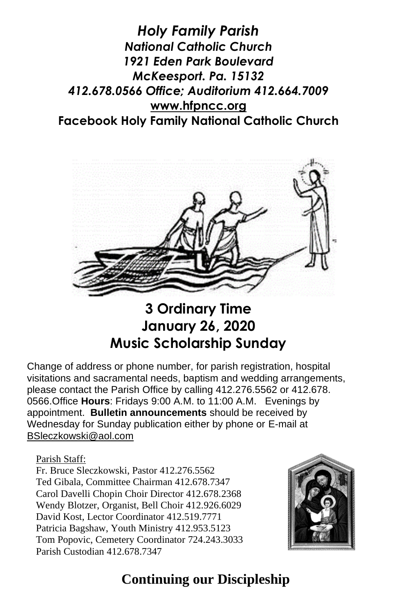*Holy Family Parish National Catholic Church 1921 Eden Park Boulevard McKeesport. Pa. 15132 412.678.0566 Office; Auditorium 412.664.7009* **[www.hfpncc.org](http://www.hfpncc.org/) Facebook Holy Family National Catholic Church**



**3 Ordinary Time January 26, 2020 Music Scholarship Sunday**

Change of address or phone number, for parish registration, hospital visitations and sacramental needs, baptism and wedding arrangements, please contact the Parish Office by calling 412.276.5562 or 412.678. 0566.Office **Hours**: Fridays 9:00 A.M. to 11:00 A.M. Evenings by appointment. **Bulletin announcements** should be received by Wednesday for Sunday publication either by phone or E-mail at [BSleczkowski@aol.com](mailto:BSleczkowski@aol.com)

Parish Staff:

Fr. Bruce Sleczkowski, Pastor 412.276.5562 Ted Gibala, Committee Chairman 412.678.7347 Carol Davelli Chopin Choir Director 412.678.2368 Wendy Blotzer, Organist, Bell Choir 412.926.6029 David Kost, Lector Coordinator 412.519.7771 Patricia Bagshaw, Youth Ministry 412.953.5123 Tom Popovic, Cemetery Coordinator 724.243.3033 Parish Custodian 412.678.7347



# **Continuing our Discipleship**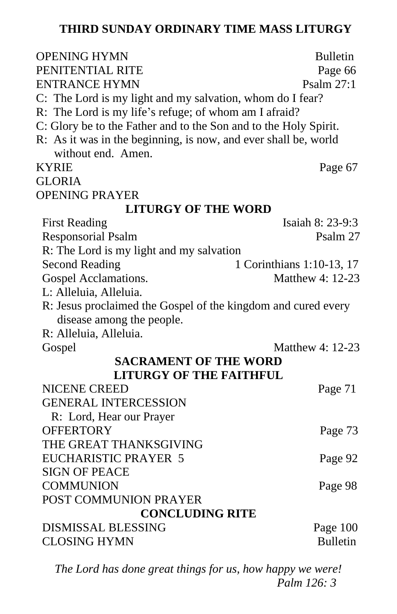#### **THIRD SUNDAY ORDINARY TIME MASS LITURGY**

| <b>OPENING HYMN</b>                                              | <b>Bulletin</b>           |
|------------------------------------------------------------------|---------------------------|
| PENITENTIAL RITE                                                 | Page 66                   |
| ENTRANCE HYMN                                                    | Psalm 27:1                |
| C: The Lord is my light and my salvation, whom do I fear?        |                           |
| R: The Lord is my life's refuge; of whom am I afraid?            |                           |
| C: Glory be to the Father and to the Son and to the Holy Spirit. |                           |
| R: As it was in the beginning, is now, and ever shall be, world  |                           |
| without end. Amen.                                               |                           |
| <b>KYRIE</b>                                                     | Page 67                   |
| <b>GLORIA</b>                                                    |                           |
| <b>OPENING PRAYER</b>                                            |                           |
| <b>LITURGY OF THE WORD</b>                                       |                           |
| <b>First Reading</b>                                             | Isaiah 8: 23-9:3          |
| <b>Responsorial Psalm</b>                                        | Psalm 27                  |
| R: The Lord is my light and my salvation                         |                           |
| <b>Second Reading</b>                                            | 1 Corinthians 1:10-13, 17 |
| Gospel Acclamations.                                             | Matthew 4: 12-23          |
| L: Alleluia, Alleluia.                                           |                           |
| R: Jesus proclaimed the Gospel of the kingdom and cured every    |                           |
| disease among the people.                                        |                           |
| R: Alleluia, Alleluia.                                           |                           |
| Gospel                                                           | Matthew 4: 12-23          |
| <b>SACRAMENT OF THE WORD</b>                                     |                           |
| <b>LITURGY OF THE FAITHFUL</b>                                   |                           |
| <b>NICENE CREED</b>                                              | Page 71                   |
| <b>GENERAL INTERCESSION</b>                                      |                           |
| R: Lord, Hear our Prayer                                         |                           |
| <b>OFFERTORY</b>                                                 | Page 73                   |
| THE GREAT THANKSGIVING                                           |                           |
| <b>EUCHARISTIC PRAYER 5</b>                                      | Page 92                   |
| <b>SIGN OF PEACE</b>                                             |                           |
| <b>COMMUNION</b>                                                 | Page 98                   |
| POST COMMUNION PRAYER                                            |                           |
| <b>CONCLUDING RITE</b>                                           |                           |
| <b>DISMISSAL BLESSING</b>                                        | Page 100                  |
| <b>CLOSING HYMN</b>                                              | <b>Bulletin</b>           |

*The Lord has done great things for us, how happy we were! Palm 126: 3*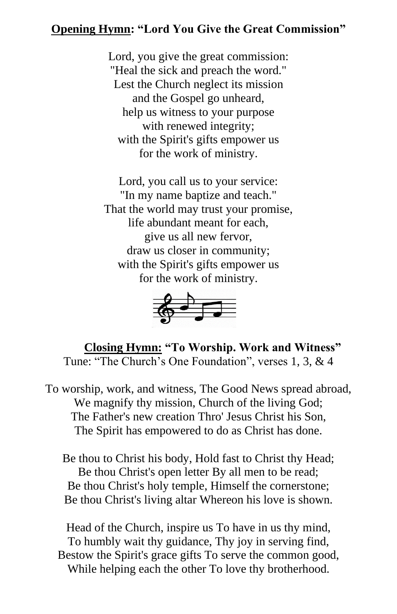#### **Opening Hymn: "Lord You Give the Great Commission"**

Lord, you give the great commission: "Heal the sick and preach the word." Lest the Church neglect its mission and the Gospel go unheard, help us witness to your purpose with renewed integrity; with the Spirit's gifts empower us for the work of ministry.

Lord, you call us to your service: "In my name baptize and teach." That the world may trust your promise, life abundant meant for each, give us all new fervor, draw us closer in community; with the Spirit's gifts empower us for the work of ministry.



 **Closing Hymn: "To Worship. Work and Witness"** Tune: "The Church's One Foundation", verses 1, 3, & 4

To worship, work, and witness, The Good News spread abroad, We magnify thy mission, Church of the living God; The Father's new creation Thro' Jesus Christ his Son, The Spirit has empowered to do as Christ has done.

Be thou to Christ his body, Hold fast to Christ thy Head; Be thou Christ's open letter By all men to be read; Be thou Christ's holy temple, Himself the cornerstone; Be thou Christ's living altar Whereon his love is shown.

Head of the Church, inspire us To have in us thy mind, To humbly wait thy guidance, Thy joy in serving find, Bestow the Spirit's grace gifts To serve the common good, While helping each the other To love thy brotherhood.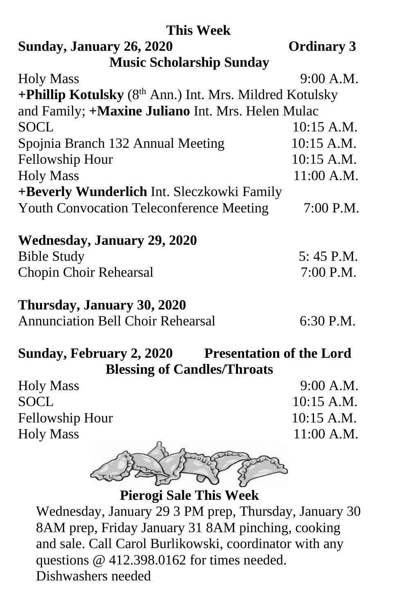| <b>This Week</b>                                        |                   |
|---------------------------------------------------------|-------------------|
| Sunday, January 26, 2020                                | <b>Ordinary 3</b> |
| <b>Music Scholarship Sunday</b>                         |                   |
| <b>Holy Mass</b>                                        | 9:00 A.M.         |
| +Phillip Kotulsky (8th Ann.) Int. Mrs. Mildred Kotulsky |                   |
| and Family; +Maxine Juliano Int. Mrs. Helen Mulac       |                   |
| <b>SOCL</b>                                             | $10:15$ A.M.      |
| Spojnia Branch 132 Annual Meeting                       | 10:15 A.M.        |
| <b>Fellowship Hour</b>                                  | $10:15$ A.M.      |
| <b>Holy Mass</b>                                        | $11:00$ A.M.      |
| +Beverly Wunderlich Int. Sleczkowki Family              |                   |
| <b>Youth Convocation Teleconference Meeting</b>         | $7:00$ P.M.       |
| <b>Wednesday, January 29, 2020</b>                      |                   |
| <b>Bible Study</b>                                      | $5:45$ P.M.       |
| Chopin Choir Rehearsal                                  | 7:00 P.M.         |
| Thursday, January 30, 2020                              |                   |
| <b>Annunciation Bell Choir Rehearsal</b>                | 6:30 P.M.         |

## **Sunday, February 2, 2020 Presentation of the Lord Blessing of Candles/Throats**

| <b>Holy Mass</b> | $9:00$ A.M.  |
|------------------|--------------|
| <b>SOCL</b>      | $10:15$ A.M. |
| Fellowship Hour  | $10:15$ A.M. |
| <b>Holy Mass</b> | $11:00$ A.M. |
| and promotion    |              |



**Pierogi Sale This Week**

Wednesday, January 29 3 PM prep, Thursday, January 30 8AM prep, Friday January 31 8AM pinching, cooking and sale. Call Carol Burlikowski, coordinator with any questions @ 412.398.0162 for times needed. Dishwashers needed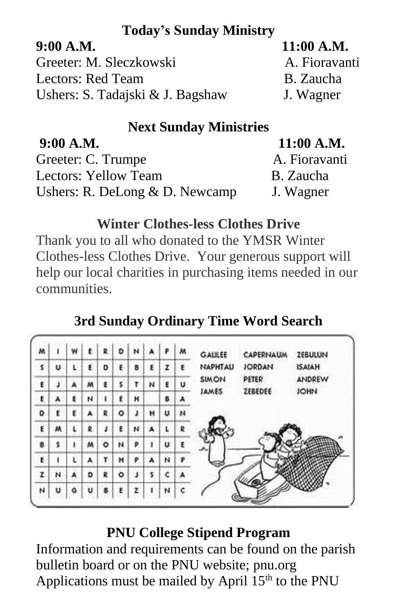## **Today's Sunday Ministry**

| 11:00 A.M.    |
|---------------|
| A. Fioravanti |
| B. Zaucha     |
| J. Wagner     |
|               |

# **Next Sunday Ministries**

| 9:00 A.M.                        | $11:00$ A.M.  |
|----------------------------------|---------------|
| Greeter: C. Trumpe               | A. Fioravanti |
| Lectors: Yellow Team             | B. Zaucha     |
| Ushers: R. DeLong $& D.$ Newcamp | J. Wagner     |

### **Winter Clothes-less Clothes Drive**

Thank you to all who donated to the YMSR Winter Clothes-less Clothes Drive. Your generous support will help our local charities in purchasing items needed in our communities.

# **3rd Sunday Ordinary Time Word Search**

| м | ٠ | w |   | R | D | ы |    | P | м | GALILEE      | CAPERNAUM     | <b>ZEBULUN</b> |
|---|---|---|---|---|---|---|----|---|---|--------------|---------------|----------------|
| 5 | U | L | E | D |   | B | ε  | z | ٤ | NAPHTAU      | <b>JORDAN</b> | <b>ISAIAH</b>  |
| E | J | А | M | ε | s | τ | N  | Ε | U | <b>SIMON</b> | PETER         | ANDREW         |
| E | A | ٤ | и | ı | ٤ | н |    | B | А | JAMES        | ZEBEDEE       | <b>JOHN</b>    |
| ٥ | ŧ | ε | A | R | ٥ | J | н  | u | н |              |               |                |
| E | м | ι | R | J | £ | ы | А  |   | R |              |               |                |
| 8 | s | ī | м | ٥ | н | ۶ |    | u | ε | ساحد         |               |                |
| E | ٠ | ι | А | ۳ | н | P | A  | N | Р |              |               |                |
| z | N | A | D | R | ۰ | J | \$ | c |   |              |               |                |
| N | Ü | Ğ | u | в |   | ż |    | N | c |              |               |                |

## **PNU College Stipend Program**

Information and requirements can be found on the parish bulletin board or on the PNU website; pnu.org Applications must be mailed by April  $15<sup>th</sup>$  to the PNU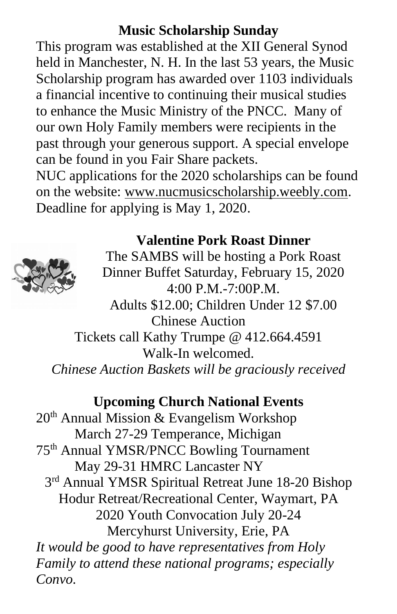## **Music Scholarship Sunday**

This program was established at the XII General Synod held in Manchester, N. H. In the last 53 years, the Music Scholarship program has awarded over 1103 individuals a financial incentive to continuing their musical studies to enhance the Music Ministry of the PNCC. Many of our own Holy Family members were recipients in the past through your generous support. A special envelope can be found in you Fair Share packets.

NUC applications for the 2020 scholarships can be found on the website: [www.nucmusicscholarship.weebly.com.](http://www.nucmusicscholarship.weebly.com/) Deadline for applying is May 1, 2020.

# **Valentine Pork Roast Dinner**



The SAMBS will be hosting a Pork Roast Dinner Buffet Saturday, February 15, 2020 4:00 P.M.-7:00P.M. Adults \$12.00; Children Under 12 \$7.00 Chinese Auction

Tickets call Kathy Trumpe @ 412.664.4591 Walk-In welcomed. *Chinese Auction Baskets will be graciously received*

### **Upcoming Church National Events**

20th Annual Mission & Evangelism Workshop March 27-29 Temperance, Michigan 75th Annual YMSR/PNCC Bowling Tournament May 29-31 HMRC Lancaster NY 3<sup>rd</sup> Annual YMSR Spiritual Retreat June 18-20 Bishop Hodur Retreat/Recreational Center, Waymart, PA 2020 Youth Convocation July 20-24 Mercyhurst University, Erie, PA *It would be good to have representatives from Holy Family to attend these national programs; especially Convo.*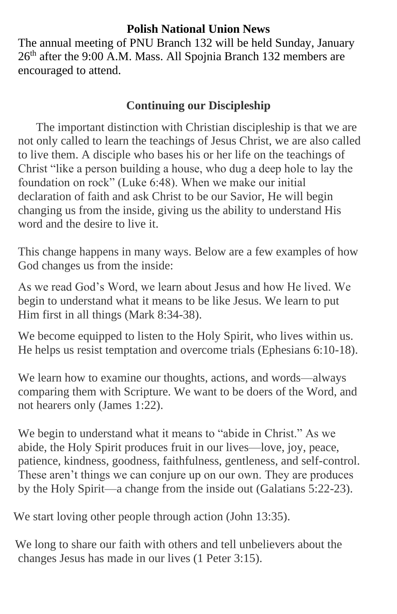#### **Polish National Union News**

The annual meeting of PNU Branch 132 will be held Sunday, January 26th after the 9:00 A.M. Mass. All Spojnia Branch 132 members are encouraged to attend.

#### **Continuing our Discipleship**

The important distinction with Christian discipleship is that we are not only called to learn the teachings of Jesus Christ, we are also called to live them. A disciple who bases his or her life on the teachings of Christ "like a person building a house, who dug a deep hole to lay the foundation on rock" (Luke 6:48). When we make our initial declaration of faith and ask Christ to be our Savior, He will begin changing us from the inside, giving us the ability to understand His word and the desire to live it.

This change happens in many ways. Below are a few examples of how God changes us from the inside:

As we read God's Word, we learn about Jesus and how He lived. We begin to understand what it means to be like Jesus. We learn to put Him first in all things (Mark 8:34-38).

We become equipped to listen to the Holy Spirit, who lives within us. He helps us resist temptation and overcome trials (Ephesians 6:10-18).

 We learn how to examine our thoughts, actions, and words—always comparing them with Scripture. We want to be doers of the Word, and not hearers only (James 1:22).

 We begin to understand what it means to "abide in Christ." As we abide, the Holy Spirit produces fruit in our lives—love, joy, peace, patience, kindness, goodness, faithfulness, gentleness, and self-control. These aren't things we can conjure up on our own. They are produces by the Holy Spirit—a change from the inside out (Galatians 5:22-23).

We start loving other people through action (John 13:35).

 We long to share our faith with others and tell unbelievers about the changes Jesus has made in our lives (1 Peter 3:15).